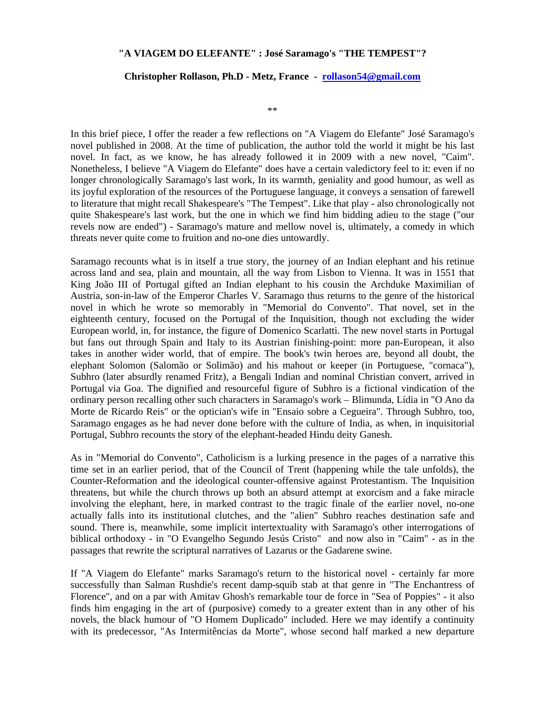## **"A VIAGEM DO ELEFANTE" : José Saramago's "THE TEMPEST"?**

## **Christopher Rollason, Ph.D - Metz, France - rollason54@gmail.com**

\*\*

In this brief piece, I offer the reader a few reflections on "A Viagem do Elefante" José Saramago's novel published in 2008. At the time of publication, the author told the world it might be his last novel. In fact, as we know, he has already followed it in 2009 with a new novel, "Caim". Nonetheless, I believe "A Viagem do Elefante" does have a certain valedictory feel to it: even if no longer chronologically Saramago's last work, In its warmth, geniality and good humour, as well as its joyful exploration of the resources of the Portuguese language, it conveys a sensation of farewell to literature that might recall Shakespeare's "The Tempest". Like that play - also chronologically not quite Shakespeare's last work, but the one in which we find him bidding adieu to the stage ("our revels now are ended") - Saramago's mature and mellow novel is, ultimately, a comedy in which threats never quite come to fruition and no-one dies untowardly.

Saramago recounts what is in itself a true story, the journey of an Indian elephant and his retinue across land and sea, plain and mountain, all the way from Lisbon to Vienna. It was in 1551 that King João III of Portugal gifted an Indian elephant to his cousin the Archduke Maximilian of Austria, son-in-law of the Emperor Charles V. Saramago thus returns to the genre of the historical novel in which he wrote so memorably in "Memorial do Convento". That novel, set in the eighteenth century, focused on the Portugal of the Inquisition, though not excluding the wider European world, in, for instance, the figure of Domenico Scarlatti. The new novel starts in Portugal but fans out through Spain and Italy to its Austrian finishing-point: more pan-European, it also takes in another wider world, that of empire. The book's twin heroes are, beyond all doubt, the elephant Solomon (Salomão or Solimão) and his mahout or keeper (in Portuguese, "cornaca"), Subhro (later absurdly renamed Fritz), a Bengali Indian and nominal Christian convert, arrived in Portugal via Goa. The dignified and resourceful figure of Subhro is a fictional vindication of the ordinary person recalling other such characters in Saramago's work – Blimunda, Lídia in "O Ano da Morte de Ricardo Reis" or the optician's wife in "Ensaio sobre a Cegueira". Through Subhro, too, Saramago engages as he had never done before with the culture of India, as when, in inquisitorial Portugal, Subhro recounts the story of the elephant-headed Hindu deity Ganesh.

As in "Memorial do Convento", Catholicism is a lurking presence in the pages of a narrative this time set in an earlier period, that of the Council of Trent (happening while the tale unfolds), the Counter-Reformation and the ideological counter-offensive against Protestantism. The Inquisition threatens, but while the church throws up both an absurd attempt at exorcism and a fake miracle involving the elephant, here, in marked contrast to the tragic finale of the earlier novel, no-one actually falls into its institutional clutches, and the "alien" Subhro reaches destination safe and sound. There is, meanwhile, some implicit intertextuality with Saramago's other interrogations of biblical orthodoxy - in "O Evangelho Segundo Jesús Cristo" and now also in "Caim" - as in the passages that rewrite the scriptural narratives of Lazarus or the Gadarene swine.

If "A Viagem do Elefante" marks Saramago's return to the historical novel - certainly far more successfully than Salman Rushdie's recent damp-squib stab at that genre in "The Enchantress of Florence", and on a par with Amitav Ghosh's remarkable tour de force in "Sea of Poppies" - it also finds him engaging in the art of (purposive) comedy to a greater extent than in any other of his novels, the black humour of "O Homem Duplicado" included. Here we may identify a continuity with its predecessor, "As Intermitências da Morte", whose second half marked a new departure